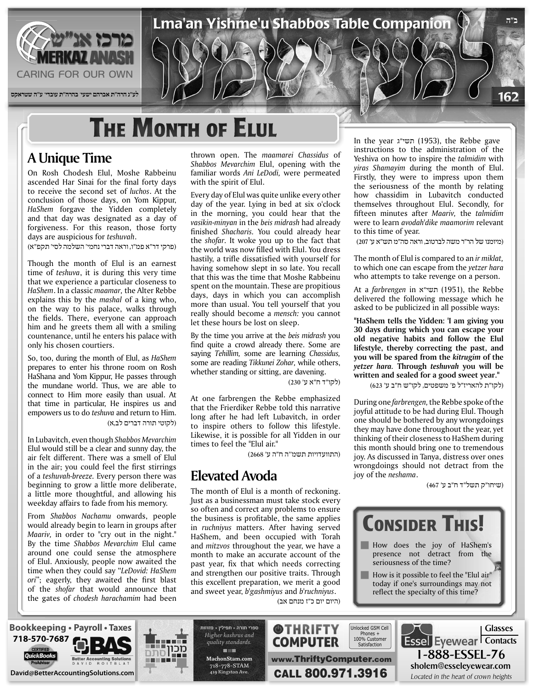

## **THE MONTH OF ELUL**

#### **A** Unique Time

On Rosh Chodesh Elul, Moshe Rabbeinu ascended Har Sinai for the final forty days to receive the second set of *luchos*. At the conclusion of those days, on Yom Kippur, HaShem forgave the Yidden completely and that day was designated as a day of forgiveness. For this reason, those forty days are auspicious for *teshuvah*.

(פרקי דר"א פמ"ו, וראה דברי נחמי' השלמה לסי' תקפ"א)

Though the month of Elul is an earnest time of teshuva, it is during this very time that we experience a particular closeness to HaShem. In a classic maamar, the Alter Rebbe explains this by the *mashal* of a king who, on the way to his palace, walks through the fields. There, everyone can approach him and he greets them all with a smiling countenance, until he enters his palace with only his chosen courtiers.

So, too, during the month of Elul, as *HaShem* prepares to enter his throne room on Rosh HaShana and Yom Kippur, He passes through the mundane world. Thus, we are able to connect to Him more easily than usual. At that time in particular, He inspires us and empowers us to do *teshuva* and return to Him. (לקוטי תורה דברים לב,א)

In Lubavitch, even though Shabbos Mevarchim Elul would still be a clear and sunny day, the air felt different. There was a smell of Elul in the air; you could feel the first stirrings of a *teshuvah-breeze*. Every person there was beginning to grow a little more deliberate, a little more thoughtful, and allowing his weekday affairs to fade from his memory.

From Shabbos Nachamu onwards, people would already begin to learn in groups after Maariv, in order to "cry out in the night." By the time *Shabbos Mevarchim* Elul came around one could sense the atmosphere of Elul. Anxiously, people now awaited the time when they could say "LeDovid: HaShem ori"; eagerly, they awaited the first blast of the shofar that would announce that the gates of *chodesh harachamim* had been thrown open. The *maamarei* Chassidus of Shabbos Mevarchim Elul, opening with the familiar words Ani LeDodi, were permeated with the spirit of Elul.

Lma'an Yishme'u Shabbos Table Companion

Every day of Elul was quite unlike every other day of the year. Lying in bed at six o'clock in the morning, you could hear that the *vasikin-minyan* in the *beis midrash* had already finished *Shacharis*. You could already hear the *shofar*. It woke you up to the fact that the world was now filled with Elul. You dress hastily, a trifle dissatisfied with yourself for having somehow slept in so late. You recall that this was the time that Moshe Rabbeinu spent on the mountain. These are propitious days, days in which you can accomplish more than usual. You tell yourself that you really should become a *mensch*: you cannot let these hours be lost on sleep.

By the time you arrive at the beis midrash you find quite a crowd already there. Some are saying *Tehillim*, some are learning *Chassidus*, some are reading Tikkunei Zohar, while others, whether standing or sitting, are davening.

(לקו"ד ח"א ע' 230)

www.ThriftyComputer.com

**@THRIFTY** 

At one farbrengen the Rebbe emphasized that the Frierdiker Rebbe told this narrative long after he had left Lubavitch, in order to inspire others to follow this lifestyle. Likewise, it is possible for all Yidden in our times to feel the "Elul air."

(התוועדויות תשמ''ה ח"ה ע' 2668)

#### **Avoda Elevated**

The month of Elul is a month of reckoning. Just as a businessman must take stock every so often and correct any problems to ensure the business is profitable, the same applies in *ruchniyus* matters. After having served HaShem, and been occupied with Torah and *mitzvos* throughout the year, we have a month to make an accurate account of the past year, fix that which needs correcting and strengthen our positive traits. Through this excellent preparation, we merit a good and sweet year, *b*'gashmiyus and *b*'ruchniyus.

In the year תשי"ג (1953), the Rebbe gave instructions to the administration of the Yeshiva on how to inspire the talmidim with  $y$ *iras* Shamayim during the month of Elul. Firstly, they were to impress upon them the seriousness of the month by relating how chassidim in Lubavitch conducted themselves throughout Elul. Secondly, for fifteen minutes after *Maariv*, the *talmidim* were to learn *avodah dike maamorim* relevant to this time of year.

**ב"ה**

162

(מיומנו של הר"ר משה לברטוב, וראה סה"מ תש"א ע' 207)

The month of Elul is compared to an *ir miklat*, to which one can escape from the yetzer hara who attempts to take revenge on a person.

 Rebbe the ,)1951 (תשי"א in *farbrengen* a At delivered the following message which he asked to be publicized in all possible ways:

"HaShem tells the Yidden: 'I am giving you **30 days during which you can escape your** old negative habits and follow the Elul lifestyle, thereby correcting the past, and you will be spared from the kitrugim of the *yetzer hara.* Through *teshuvah* you will be written and sealed for a good sweet year."

(לקו"ת להאריז"ל פ' משפטים, לקו"ש ח"ב ע' 623)

During one *farbrengen*, the Rebbe spoke of the joyful attitude to be had during Elul. Though one should be bothered by any wrongdoings they may have done throughout the year, yet thinking of their closeness to HaShem during this month should bring one to tremendous joy. As discussed in Tanya, distress over ones wrongdoings should not detract from the joy of the *neshama*.

(שיחו"ק תשל"ד ח"ב ע' 467)

1-888-ESSEL-76 sholem@esseleyewear.com







ספרי תורה - תפילין - מזוזות Higher kashrus and *.standards quality* **THE com.MachonStam** 718-778-STAM 419 Kingston Ave